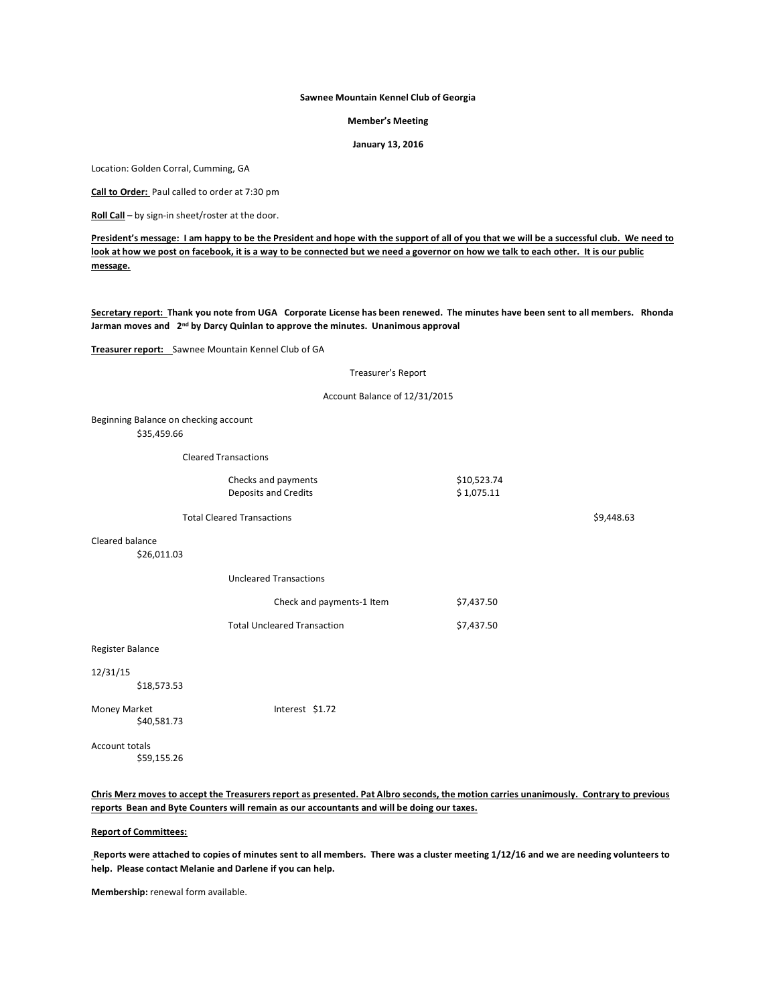# **Sawnee Mountain Kennel Club of Georgia**

#### **Member's Meeting**

**January 13, 2016**

Location: Golden Corral, Cumming, GA

**Call to Order:** Paul called to order at 7:30 pm

**Roll Call** – by sign-in sheet/roster at the door.

**President's message: I am happy to be the President and hope with the support of all of you that we will be a successful club. We need to look at how we post on facebook, it is a way to be connected but we need a governor on how we talk to each other. It is our public message.**

**Secretary report: Thank you note from UGA Corporate License has been renewed. The minutes have been sent to all members. Rhonda** Jarman moves and 2<sup>nd</sup> by Darcy Quinlan to approve the minutes. Unanimous approval

**Treasurer report:** Sawnee Mountain Kennel Club of GA

#### Treasurer's Report

### Account Balance of 12/31/2015

Beginning Balance on checking account \$35,459.66

Cleared Transactions

| Checks and payments  | \$10.523.74 |
|----------------------|-------------|
| Deposits and Credits | \$1,075.11  |

Total Cleared Transactions **\$9,448.63**  $\sqrt{9}$ 

Cleared balance

\$26,011.03

Uncleared Transactions

| Check and payments-1 Item          | \$7.437.50 |
|------------------------------------|------------|
| <b>Total Uncleared Transaction</b> | \$7,437.50 |

Register Balance

#### 12/31/15

\$18,573.53

Money Market **Interest** \$1.72 \$40,581.73

Account totals \$59,155.26

**Chris Merz moves to accept the Treasurers report as presented. Pat Albro seconds, the motion carries unanimously. Contrary to previous reports Bean and Byte Counters will remain as our accountants and will be doing our taxes.**

# **Report of Committees:**

**Reports were attached to copies of minutes sent to all members. There was a cluster meeting 1/12/16 and we are needing volunteers to help. Please contact Melanie and Darlene if you can help.**

**Membership:** renewal form available.